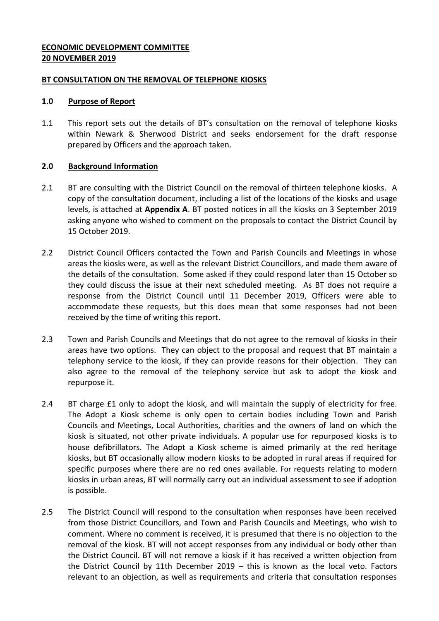## **ECONOMIC DEVELOPMENT COMMITTEE 20 NOVEMBER 2019**

### **BT CONSULTATION ON THE REMOVAL OF TELEPHONE KIOSKS**

## **1.0 Purpose of Report**

1.1 This report sets out the details of BT's consultation on the removal of telephone kiosks within Newark & Sherwood District and seeks endorsement for the draft response prepared by Officers and the approach taken.

# **2.0 Background Information**

- 2.1 BT are consulting with the District Council on the removal of thirteen telephone kiosks. A copy of the consultation document, including a list of the locations of the kiosks and usage levels, is attached at **Appendix A**. BT posted notices in all the kiosks on 3 September 2019 asking anyone who wished to comment on the proposals to contact the District Council by 15 October 2019.
- 2.2 District Council Officers contacted the Town and Parish Councils and Meetings in whose areas the kiosks were, as well as the relevant District Councillors, and made them aware of the details of the consultation. Some asked if they could respond later than 15 October so they could discuss the issue at their next scheduled meeting. As BT does not require a response from the District Council until 11 December 2019, Officers were able to accommodate these requests, but this does mean that some responses had not been received by the time of writing this report.
- 2.3 Town and Parish Councils and Meetings that do not agree to the removal of kiosks in their areas have two options. They can object to the proposal and request that BT maintain a telephony service to the kiosk, if they can provide reasons for their objection. They can also agree to the removal of the telephony service but ask to adopt the kiosk and repurpose it.
- 2.4 BT charge £1 only to adopt the kiosk, and will maintain the supply of electricity for free. The Adopt a Kiosk scheme is only open to certain bodies including Town and Parish Councils and Meetings, Local Authorities, charities and the owners of land on which the kiosk is situated, not other private individuals. A popular use for repurposed kiosks is to house defibrillators. The Adopt a Kiosk scheme is aimed primarily at the red heritage kiosks, but BT occasionally allow modern kiosks to be adopted in rural areas if required for specific purposes where there are no red ones available. For requests relating to modern kiosks in urban areas, BT will normally carry out an individual assessment to see if adoption is possible.
- 2.5 The District Council will respond to the consultation when responses have been received from those District Councillors, and Town and Parish Councils and Meetings, who wish to comment. Where no comment is received, it is presumed that there is no objection to the removal of the kiosk. BT will not accept responses from any individual or body other than the District Council. BT will not remove a kiosk if it has received a written objection from the District Council by 11th December 2019 – this is known as the local veto. Factors relevant to an objection, as well as requirements and criteria that consultation responses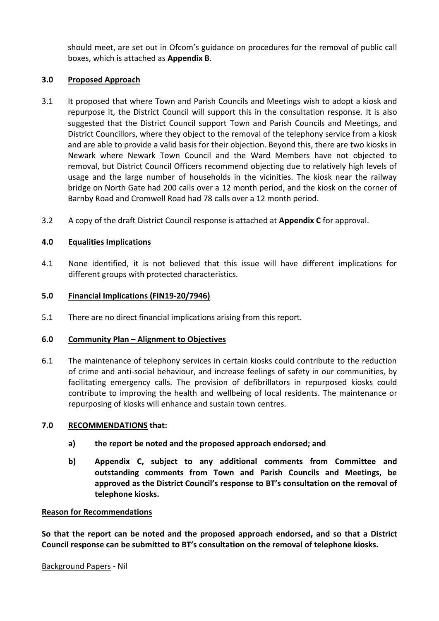should meet, are set out in Ofcom's guidance on procedures for the removal of public call boxes, which is attached as **Appendix B**.

# **3.0 Proposed Approach**

- 3.1 It proposed that where Town and Parish Councils and Meetings wish to adopt a kiosk and repurpose it, the District Council will support this in the consultation response. It is also suggested that the District Council support Town and Parish Councils and Meetings, and District Councillors, where they object to the removal of the telephony service from a kiosk and are able to provide a valid basis for their objection. Beyond this, there are two kiosks in Newark where Newark Town Council and the Ward Members have not objected to removal, but District Council Officers recommend objecting due to relatively high levels of usage and the large number of households in the vicinities. The kiosk near the railway bridge on North Gate had 200 calls over a 12 month period, and the kiosk on the corner of Barnby Road and Cromwell Road had 78 calls over a 12 month period.
- 3.2 A copy of the draft District Council response is attached at **Appendix C** for approval.

# **4.0 Equalities Implications**

4.1 None identified, it is not believed that this issue will have different implications for different groups with protected characteristics.

### **5.0 Financial Implications (FIN19-20/7946)**

5.1 There are no direct financial implications arising from this report.

### **6.0 Community Plan – Alignment to Objectives**

6.1 The maintenance of telephony services in certain kiosks could contribute to the reduction of crime and anti-social behaviour, and increase feelings of safety in our communities, by facilitating emergency calls. The provision of defibrillators in repurposed kiosks could contribute to improving the health and wellbeing of local residents. The maintenance or repurposing of kiosks will enhance and sustain town centres.

### **7.0 RECOMMENDATIONS that:**

- **a) the report be noted and the proposed approach endorsed; and**
- **b) Appendix C, subject to any additional comments from Committee and outstanding comments from Town and Parish Councils and Meetings, be approved as the District Council's response to BT's consultation on the removal of telephone kiosks.**

### **Reason for Recommendations**

**So that the report can be noted and the proposed approach endorsed, and so that a District Council response can be submitted to BT's consultation on the removal of telephone kiosks.**

#### Background Papers - Nil